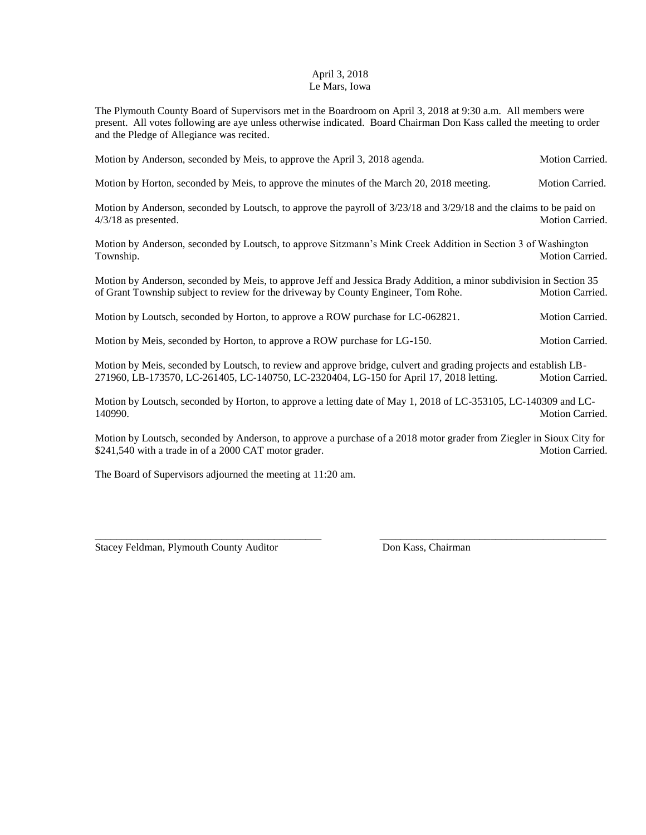## April 3, 2018 Le Mars, Iowa

The Plymouth County Board of Supervisors met in the Boardroom on April 3, 2018 at 9:30 a.m. All members were present. All votes following are aye unless otherwise indicated. Board Chairman Don Kass called the meeting to order and the Pledge of Allegiance was recited.

|  |  | Motion by Anderson, seconded by Meis, to approve the April 3, 2018 agenda. | <b>Motion Carried.</b> |  |
|--|--|----------------------------------------------------------------------------|------------------------|--|
|  |  |                                                                            |                        |  |

Motion by Horton, seconded by Meis, to approve the minutes of the March 20, 2018 meeting. Motion Carried.

Motion by Anderson, seconded by Loutsch, to approve the payroll of 3/23/18 and 3/29/18 and the claims to be paid on 4/3/18 as presented. Motion Carried.

Motion by Anderson, seconded by Loutsch, to approve Sitzmann's Mink Creek Addition in Section 3 of Washington Township. Motion Carried.

Motion by Anderson, seconded by Meis, to approve Jeff and Jessica Brady Addition, a minor subdivision in Section 35 of Grant Township subject to review for the driveway by County Engineer, Tom Rohe. Motion Carried.

Motion by Loutsch, seconded by Horton, to approve a ROW purchase for LC-062821. Motion Carried.

Motion by Meis, seconded by Horton, to approve a ROW purchase for LG-150. Motion Carried.

Motion by Meis, seconded by Loutsch, to review and approve bridge, culvert and grading projects and establish LB-271960, LB-173570, LC-261405, LC-140750, LC-2320404, LG-150 for April 17, 2018 letting. Motion Carried.

Motion by Loutsch, seconded by Horton, to approve a letting date of May 1, 2018 of LC-353105, LC-140309 and LC-140990. Motion Carried.

Motion by Loutsch, seconded by Anderson, to approve a purchase of a 2018 motor grader from Ziegler in Sioux City for \$241,540 with a trade in of a 2000 CAT motor grader. Motion Carried. Motion Carried.

\_\_\_\_\_\_\_\_\_\_\_\_\_\_\_\_\_\_\_\_\_\_\_\_\_\_\_\_\_\_\_\_\_\_\_\_\_\_\_\_\_\_\_ \_\_\_\_\_\_\_\_\_\_\_\_\_\_\_\_\_\_\_\_\_\_\_\_\_\_\_\_\_\_\_\_\_\_\_\_\_\_\_\_\_\_\_

The Board of Supervisors adjourned the meeting at 11:20 am.

Stacey Feldman, Plymouth County Auditor Don Kass, Chairman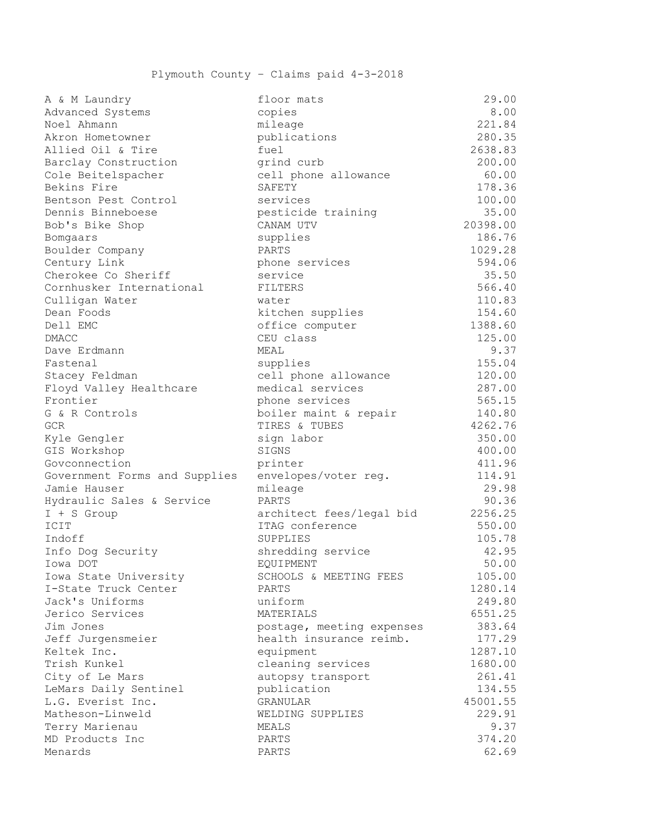| A & M Laundry                 | floor mats                | 29.00    |
|-------------------------------|---------------------------|----------|
| Advanced Systems              | copies                    | 8.00     |
| Noel Ahmann                   | mileage                   | 221.84   |
| Akron Hometowner              | publications              | 280.35   |
| Allied Oil & Tire             | fuel                      | 2638.83  |
| Barclay Construction          | grind curb                | 200.00   |
| Cole Beitelspacher            | cell phone allowance      | 60.00    |
| Bekins Fire                   | SAFETY                    | 178.36   |
| Bentson Pest Control          | services                  | 100.00   |
| Dennis Binneboese             | pesticide training        | 35.00    |
| Bob's Bike Shop               | CANAM UTV                 | 20398.00 |
| Bomgaars                      | supplies                  | 186.76   |
| Boulder Company               | PARTS                     | 1029.28  |
| Century Link                  | phone services            | 594.06   |
| Cherokee Co Sheriff           | service                   | 35.50    |
| Cornhusker International      | FILTERS                   | 566.40   |
| Culligan Water                | water                     | 110.83   |
| Dean Foods                    | kitchen supplies          | 154.60   |
| Dell EMC                      | office computer           | 1388.60  |
| <b>DMACC</b>                  | CEU class                 | 125.00   |
| Dave Erdmann                  | MEAL                      | 9.37     |
| Fastenal                      | supplies                  | 155.04   |
| Stacey Feldman                | cell phone allowance      | 120.00   |
| Floyd Valley Healthcare       | medical services          | 287.00   |
| Frontier                      | phone services            | 565.15   |
| G & R Controls                | boiler maint & repair     | 140.80   |
| <b>GCR</b>                    | TIRES & TUBES             | 4262.76  |
| Kyle Gengler                  | sign labor                | 350.00   |
| GIS Workshop                  | SIGNS                     | 400.00   |
| Govconnection                 | printer                   | 411.96   |
| Government Forms and Supplies | envelopes/voter reg.      | 114.91   |
| Jamie Hauser                  | mileage                   | 29.98    |
| Hydraulic Sales & Service     | PARTS                     | 90.36    |
| $I + S$ Group                 | architect fees/legal bid  | 2256.25  |
| ICIT                          | ITAG conference           | 550.00   |
| Indoff                        | SUPPLIES                  | 105.78   |
| Info Dog Security             | shredding service         | 42.95    |
| Iowa DOT                      | <b>EOUIPMENT</b>          | 50.00    |
| Iowa State University         | SCHOOLS & MEETING FEES    | 105.00   |
| I-State Truck Center          | PARTS                     | 1280.14  |
| Jack's Uniforms               | uniform                   | 249.80   |
| Jerico Services               | MATERIALS                 | 6551.25  |
| Jim Jones                     | postage, meeting expenses | 383.64   |
| Jeff Jurgensmeier             | health insurance reimb.   | 177.29   |
| Keltek Inc.                   | equipment                 | 1287.10  |
| Trish Kunkel                  | cleaning services         | 1680.00  |
| City of Le Mars               | autopsy transport         | 261.41   |
| LeMars Daily Sentinel         | publication               | 134.55   |
| L.G. Everist Inc.             | GRANULAR                  | 45001.55 |
| Matheson-Linweld              | WELDING SUPPLIES          | 229.91   |
| Terry Marienau                | MEALS                     | 9.37     |
| MD Products Inc               | PARTS                     | 374.20   |
| Menards                       | PARTS                     | 62.69    |

| eage                   | 221.84   |
|------------------------|----------|
| lications              | 280.35   |
| ı1                     | 2638.83  |
| nd curb                | 200.00   |
| 1 phone allowance      | 60.00    |
| <b>ETY</b>             | 178.36   |
| vices                  | 100.00   |
| ticide training        | 35.00    |
| AM UTV                 | 20398.00 |
| plies                  | 186.76   |
| TS                     | 1029.28  |
| ne services            | 594.06   |
| vice                   | 35.50    |
| <b>TERS</b>            | 566.40   |
| er                     | 110.83   |
| chen supplies          | 154.60   |
| ice computer           | 1388.60  |
| class                  | 125.00   |
| L                      | 9.37     |
| plies                  | 155.04   |
| 1 phone allowance      | 120.00   |
| lical services         | 287.00   |
| ne services            | 565.15   |
| ler maint & repair     | 140.80   |
| ES & TUBES             | 4262.76  |
| n labor                | 350.00   |
| NS.                    | 400.00   |
| nter                   | 411.96   |
| elopes/voter reg.      | 114.91   |
| eage                   | 29.98    |
| .TS                    | 90.36    |
| hitect fees/legal bid  | 2256.25  |
| G conference           | 550.00   |
| PLIES                  | 105.78   |
| edding service         | 42.95    |
| <b>IPMENT</b>          | 50.00    |
| OOLS & MEETING FEES    | 105.00   |
| .TS                    | 1280.14  |
| form                   | 249.80   |
| 'ERIALS                | 6551.25  |
| tage, meeting expenses | 383.64   |
| lth insurance reimb.   | 177.29   |
| ipment                 | 1287.10  |
| aning services         | 1680.00  |
| opsy transport         | 261.41   |
| lication               | 134.55   |
| NULAR                  | 45001.55 |
| DING SUPPLIES          | 229.91   |
| LS                     | 9.37     |
| <b>TS</b>              | 374.20   |